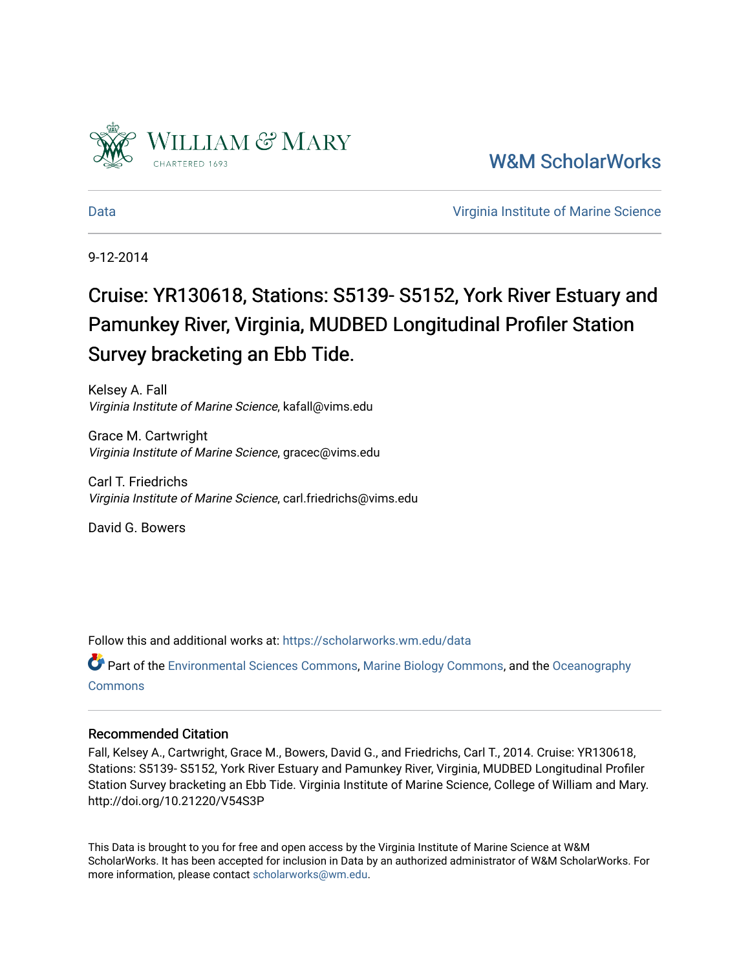

[W&M ScholarWorks](https://scholarworks.wm.edu/) 

[Data](https://scholarworks.wm.edu/data) [Virginia Institute of Marine Science](https://scholarworks.wm.edu/vims) 

9-12-2014

# Cruise: YR130618, Stations: S5139- S5152, York River Estuary and Pamunkey River, Virginia, MUDBED Longitudinal Profiler Station Survey bracketing an Ebb Tide.

Kelsey A. Fall Virginia Institute of Marine Science, kafall@vims.edu

Grace M. Cartwright Virginia Institute of Marine Science, gracec@vims.edu

Carl T. Friedrichs Virginia Institute of Marine Science, carl.friedrichs@vims.edu

David G. Bowers

Follow this and additional works at: [https://scholarworks.wm.edu/data](https://scholarworks.wm.edu/data?utm_source=scholarworks.wm.edu%2Fdata%2F31&utm_medium=PDF&utm_campaign=PDFCoverPages) 

Part of the [Environmental Sciences Commons](http://network.bepress.com/hgg/discipline/167?utm_source=scholarworks.wm.edu%2Fdata%2F31&utm_medium=PDF&utm_campaign=PDFCoverPages), [Marine Biology Commons](http://network.bepress.com/hgg/discipline/1126?utm_source=scholarworks.wm.edu%2Fdata%2F31&utm_medium=PDF&utm_campaign=PDFCoverPages), and the [Oceanography](http://network.bepress.com/hgg/discipline/191?utm_source=scholarworks.wm.edu%2Fdata%2F31&utm_medium=PDF&utm_campaign=PDFCoverPages) **[Commons](http://network.bepress.com/hgg/discipline/191?utm_source=scholarworks.wm.edu%2Fdata%2F31&utm_medium=PDF&utm_campaign=PDFCoverPages)** 

#### Recommended Citation

Fall, Kelsey A., Cartwright, Grace M., Bowers, David G., and Friedrichs, Carl T., 2014. Cruise: YR130618, Stations: S5139- S5152, York River Estuary and Pamunkey River, Virginia, MUDBED Longitudinal Profiler Station Survey bracketing an Ebb Tide. Virginia Institute of Marine Science, College of William and Mary. http://doi.org/10.21220/V54S3P

This Data is brought to you for free and open access by the Virginia Institute of Marine Science at W&M ScholarWorks. It has been accepted for inclusion in Data by an authorized administrator of W&M ScholarWorks. For more information, please contact [scholarworks@wm.edu](mailto:scholarworks@wm.edu).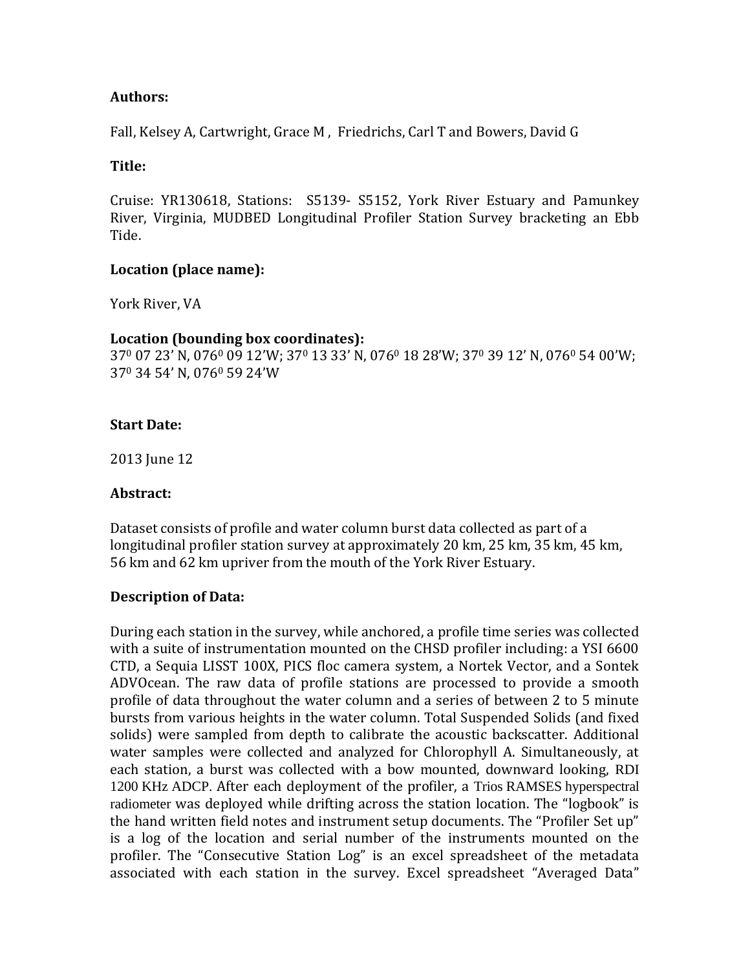# **Authors:**

Fall, Kelsey A, Cartwright, Grace M , Friedrichs, Carl T and Bowers, David G

## **Title:**

Cruise: YR130618, Stations: S5139- S5152, York River Estuary and Pamunkey River, Virginia, MUDBED Longitudinal Profiler Station Survey bracketing an Ebb Tide.

### **Location (place name):**

York River, VA

### **Location (bounding box coordinates):**

37<sup>0</sup> 07 23' N, 076<sup>0</sup> 09 12'W; 37<sup>0</sup> 13 33' N, 076<sup>0</sup> 18 28'W; 37<sup>0</sup> 39 12' N, 076<sup>0</sup> 54 00'W; 37<sup>0</sup> 34 54' N, 076<sup>0</sup> 59 24'W

### **Start Date:**

2013 June 12

#### **Abstract:**

Dataset consists of profile and water column burst data collected as part of a longitudinal profiler station survey at approximately 20 km, 25 km, 35 km, 45 km, 56 km and 62 km upriver from the mouth of the York River Estuary.

#### **Description of Data:**

During each station in the survey, while anchored, a profile time series was collected with a suite of instrumentation mounted on the CHSD profiler including: a YSI 6600 CTD, a Sequia LISST 100X, PICS floc camera system, a Nortek Vector, and a Sontek ADVOcean. The raw data of profile stations are processed to provide a smooth profile of data throughout the water column and a series of between 2 to 5 minute bursts from various heights in the water column. Total Suspended Solids (and fixed solids) were sampled from depth to calibrate the acoustic backscatter. Additional water samples were collected and analyzed for Chlorophyll A. Simultaneously, at each station, a burst was collected with a bow mounted, downward looking, RDI 1200 KHz ADCP. After each deployment of the profiler, a Trios RAMSES hyperspectral radiometer was deployed while drifting across the station location. The "logbook" is the hand written field notes and instrument setup documents. The "Profiler Set up" is a log of the location and serial number of the instruments mounted on the profiler. The "Consecutive Station Log" is an excel spreadsheet of the metadata associated with each station in the survey. Excel spreadsheet "Averaged Data"